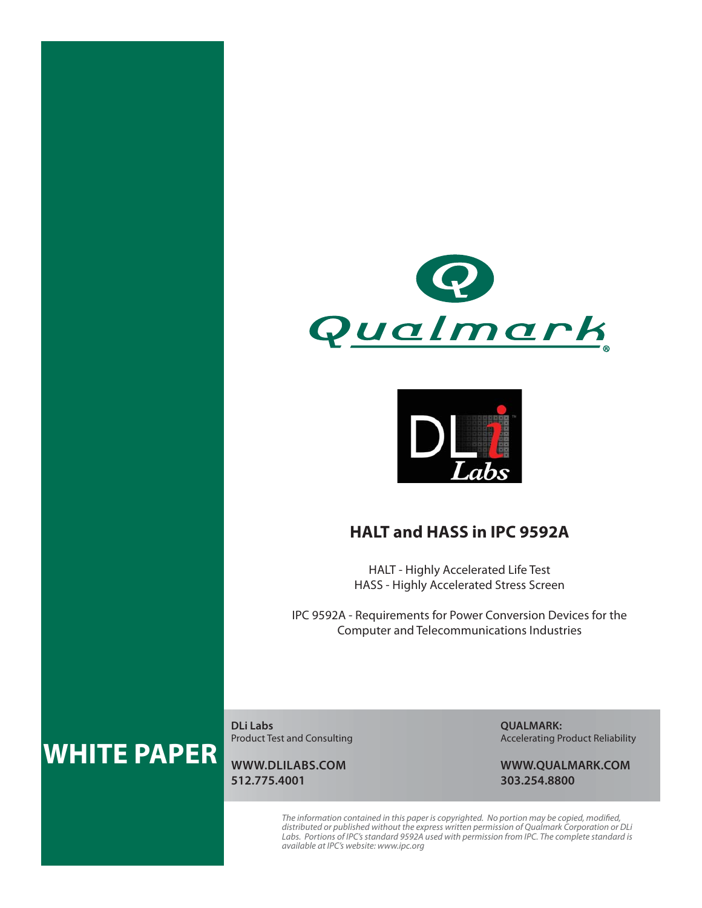



## **HALT and HASS in IPC 9592A**

HALT - Highly Accelerated Life Test HASS - Highly Accelerated Stress Screen

IPC 9592A - Requirements for Power Conversion Devices for the Computer and Telecommunications Industries

# **WHITE PAPER**

**DLi Labs** Product Test and Consulting

**WWW.DLILABS.COM 512.775.4001**

**QUALMARK:** Accelerating Product Reliability

**WWW.QUALMARK.COM 303.254.8800**

The information contained in this paper is copyrighted. No portion may be copied, modified, distributed or published without the express written permission of Qualmark Corporation or DLi<br>Labs. Portions of IPC's standard 9592A used with permission from IPC. The complete standard is<br>available at IPC's website: www.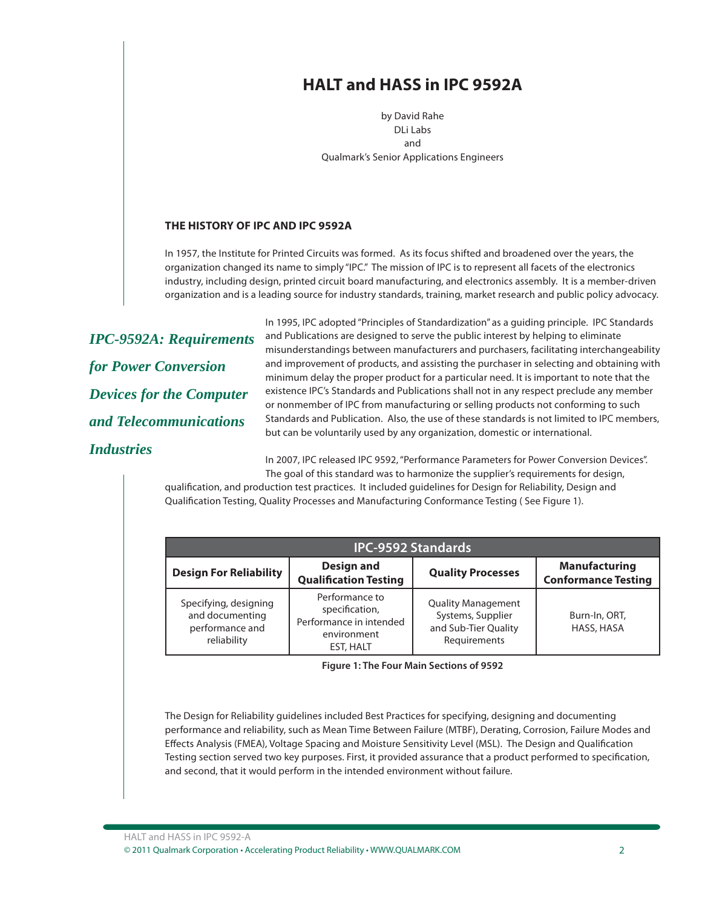## **HALT and HASS in IPC 9592A**

by David Rahe DLi Labs and Qualmark's Senior Applications Engineers

#### **THE HISTORY OF IPC AND IPC 9592A**

In 1957, the Institute for Printed Circuits was formed. As its focus shifted and broadened over the years, the organization changed its name to simply "IPC." The mission of IPC is to represent all facets of the electronics industry, including design, printed circuit board manufacturing, and electronics assembly. It is a member-driven organization and is a leading source for industry standards, training, market research and public policy advocacy.

*IPC-9592A: Requirements for Power Conversion Devices for the Computer and Telecommunications Industries*

In 1995, IPC adopted "Principles of Standardization" as a guiding principle. IPC Standards and Publications are designed to serve the public interest by helping to eliminate misunderstandings between manufacturers and purchasers, facilitating interchangeability and improvement of products, and assisting the purchaser in selecting and obtaining with minimum delay the proper product for a particular need. It is important to note that the existence IPC's Standards and Publications shall not in any respect preclude any member or nonmember of IPC from manufacturing or selling products not conforming to such Standards and Publication. Also, the use of these standards is not limited to IPC members, but can be voluntarily used by any organization, domestic or international.

In 2007, IPC released IPC 9592, "Performance Parameters for Power Conversion Devices". The goal of this standard was to harmonize the supplier's requirements for design,

qualification, and production test practices. It included quidelines for Design for Reliability, Design and Qualification Testing, Quality Processes and Manufacturing Conformance Testing (See Figure 1).

| <b>IPC-9592 Standards</b>                                                  |                                                                                         |                                                                                        |                                                    |  |  |  |
|----------------------------------------------------------------------------|-----------------------------------------------------------------------------------------|----------------------------------------------------------------------------------------|----------------------------------------------------|--|--|--|
| <b>Design For Reliability</b>                                              | Design and<br><b>Qualification Testing</b>                                              | <b>Quality Processes</b>                                                               | <b>Manufacturing</b><br><b>Conformance Testing</b> |  |  |  |
| Specifying, designing<br>and documenting<br>performance and<br>reliability | Performance to<br>specification,<br>Performance in intended<br>environment<br>EST, HALT | <b>Quality Management</b><br>Systems, Supplier<br>and Sub-Tier Quality<br>Requirements | Burn-In, ORT,<br>HASS, HASA                        |  |  |  |

**Figure 1: The Four Main Sections of 9592**

The Design for Reliability guidelines included Best Practices for specifying, designing and documenting performance and reliability, such as Mean Time Between Failure (MTBF), Derating, Corrosion, Failure Modes and Effects Analysis (FMEA), Voltage Spacing and Moisture Sensitivity Level (MSL). The Design and Qualification Testing section served two key purposes. First, it provided assurance that a product performed to specification, and second, that it would perform in the intended environment without failure.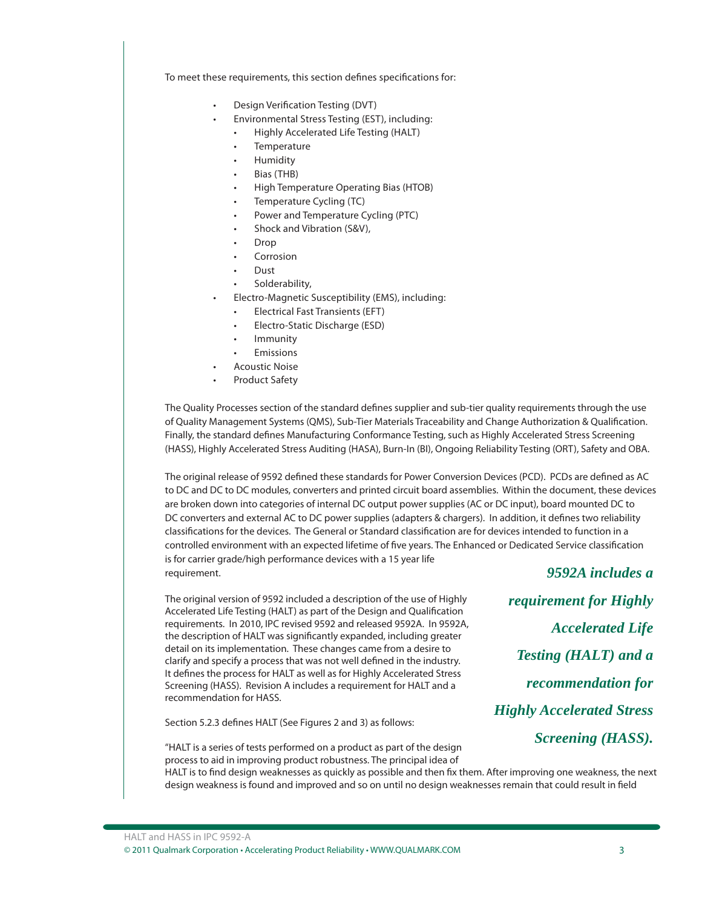To meet these requirements, this section defines specifications for:

- Design Verification Testing (DVT)
- Environmental Stress Testing (EST), including:
	- Highly Accelerated Life Testing (HALT)
	- **Temperature**
	- Humidity
	- Bias (THB)
	- High Temperature Operating Bias (HTOB)
	- Temperature Cycling (TC)
	- Power and Temperature Cycling (PTC)
	- Shock and Vibration (S&V),
	- Drop
	- **Corrosion**
	- Dust
	- Solderability,
	- Electro-Magnetic Susceptibility (EMS), including:
	- Electrical Fast Transients (EFT)
	- Electro-Static Discharge (ESD)
	- **Immunity**
	- **Emissions**
- Acoustic Noise
- Product Safety

The Quality Processes section of the standard defines supplier and sub-tier quality requirements through the use of Quality Management Systems (QMS), Sub-Tier Materials Traceability and Change Authorization & Qualification. Finally, the standard defines Manufacturing Conformance Testing, such as Highly Accelerated Stress Screening (HASS), Highly Accelerated Stress Auditing (HASA), Burn-In (BI), Ongoing Reliability Testing (ORT), Safety and OBA.

The original release of 9592 defined these standards for Power Conversion Devices (PCD). PCDs are defined as AC to DC and DC to DC modules, converters and printed circuit board assemblies. Within the document, these devices are broken down into categories of internal DC output power supplies (AC or DC input), board mounted DC to DC converters and external AC to DC power supplies (adapters & chargers). In addition, it defines two reliability classifications for the devices. The General or Standard classification are for devices intended to function in a controlled environment with an expected lifetime of five years. The Enhanced or Dedicated Service classification is for carrier grade/high performance devices with a 15 year life requirement. *9592A includes a* 

The original version of 9592 included a description of the use of Highly Accelerated Life Testing (HALT) as part of the Design and Qualification requirements. In 2010, IPC revised 9592 and released 9592A. In 9592A, the description of HALT was significantly expanded, including greater detail on its implementation. These changes came from a desire to clarify and specify a process that was not well defined in the industry. It defines the process for HALT as well as for Highly Accelerated Stress Screening (HASS). Revision A includes a requirement for HALT and a recommendation for HASS.

"HALT is a series of tests performed on a product as part of the design

Section 5.2.3 defines HALT (See Figures 2 and 3) as follows:

*requirement for Highly Accelerated Life Testing (HALT) and a recommendation for Highly Accelerated Stress Screening (HASS).*

process to aid in improving product robustness. The principal idea of HALT is to find design weaknesses as quickly as possible and then fix them. After improving one weakness, the next design weakness is found and improved and so on until no design weaknesses remain that could result in field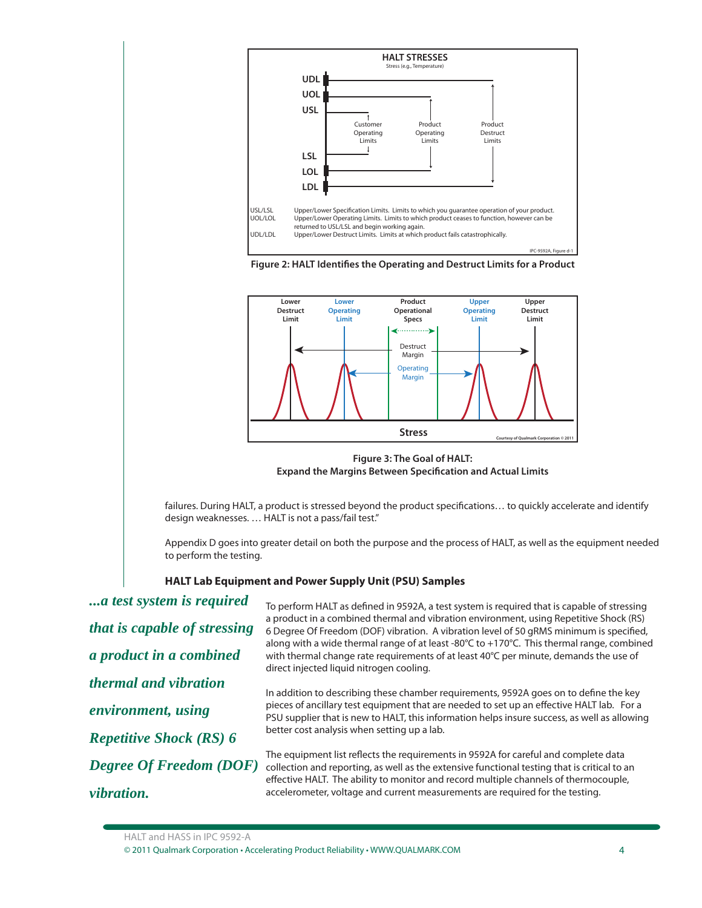





**Figure 3: The Goal of HALT: Expand the Margins Between Specification and Actual Limits** 

failures. During HALT, a product is stressed beyond the product specifications... to quickly accelerate and identify design weaknesses. … HALT is not a pass/fail test."

Appendix D goes into greater detail on both the purpose and the process of HALT, as well as the equipment needed to perform the testing.

#### **HALT Lab Equipment and Power Supply Unit (PSU) Samples**

*...a test system is required that is capable of stressing a product in a combined thermal and vibration environment, using Repetitive Shock (RS) 6 Degree Of Freedom (DOF) vibration.*

To perform HALT as defined in 9592A, a test system is required that is capable of stressing a product in a combined thermal and vibration environment, using Repetitive Shock (RS) 6 Degree Of Freedom (DOF) vibration. A vibration level of 50 gRMS minimum is specified, along with a wide thermal range of at least -80°C to +170°C. This thermal range, combined with thermal change rate requirements of at least 40°C per minute, demands the use of direct injected liquid nitrogen cooling.

In addition to describing these chamber requirements, 9592A goes on to define the key pieces of ancillary test equipment that are needed to set up an effective HALT lab. For a PSU supplier that is new to HALT, this information helps insure success, as well as allowing better cost analysis when setting up a lab.

The equipment list reflects the requirements in 9592A for careful and complete data collection and reporting, as well as the extensive functional testing that is critical to an effective HALT. The ability to monitor and record multiple channels of thermocouple, accelerometer, voltage and current measurements are required for the testing.

HALT and HASS in IPC 9592-A

<sup>© 2011</sup> Qualmark Corporation • Accelerating Product Reliability • WWW.QUALMARK.COM 4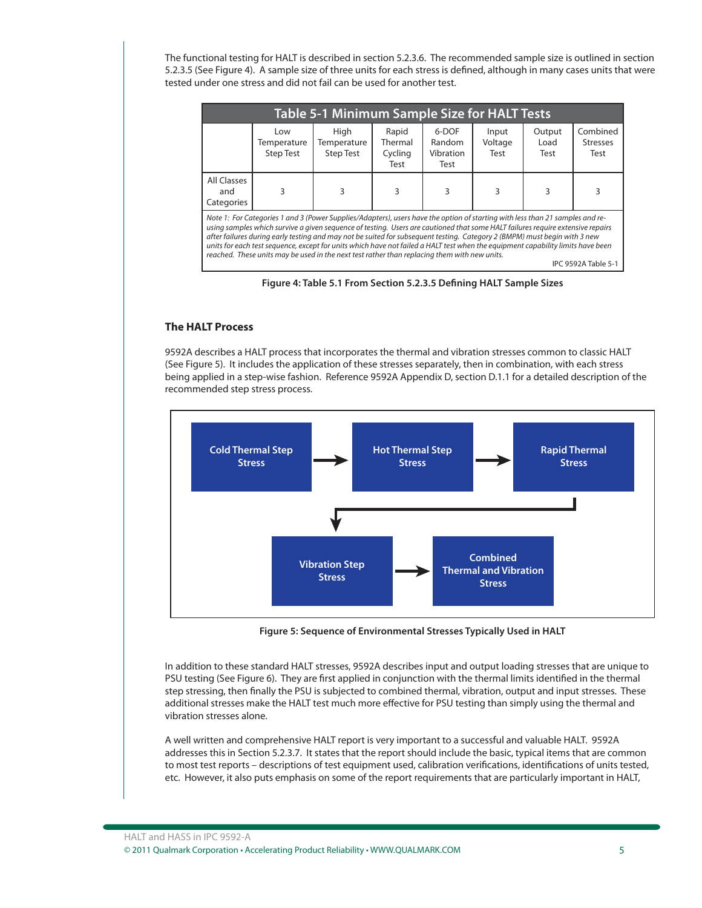The functional testing for HALT is described in section 5.2.3.6. The recommended sample size is outlined in section 5.2.3.5 (See Figure 4). A sample size of three units for each stress is defined, although in many cases units that were tested under one stress and did not fail can be used for another test.

| Rapid<br>6-DOF<br>High<br>Low<br>Temperature<br>Thermal<br>Random<br>Temperature<br>Cycling<br>Vibration<br><b>Step Test</b><br><b>Step Test</b><br>Test<br>Test                                                                                                                                                                                                                                                                                                                                                                                                                                                                                       | <b>Table 5-1 Minimum Sample Size for HALT Tests</b> |                        |                                     |  |  |  |  |
|--------------------------------------------------------------------------------------------------------------------------------------------------------------------------------------------------------------------------------------------------------------------------------------------------------------------------------------------------------------------------------------------------------------------------------------------------------------------------------------------------------------------------------------------------------------------------------------------------------------------------------------------------------|-----------------------------------------------------|------------------------|-------------------------------------|--|--|--|--|
|                                                                                                                                                                                                                                                                                                                                                                                                                                                                                                                                                                                                                                                        | Input<br>Voltage<br>Test                            | Output<br>Load<br>Test | Combined<br><b>Stresses</b><br>Test |  |  |  |  |
| All Classes<br>3<br>3<br>3<br>3<br>and<br>Categories                                                                                                                                                                                                                                                                                                                                                                                                                                                                                                                                                                                                   | 3                                                   | 3                      |                                     |  |  |  |  |
| Note 1: For Categories 1 and 3 (Power Supplies/Adapters), users have the option of starting with less than 21 samples and re-<br>using samples which survive a given sequence of testing. Users are cautioned that some HALT failures require extensive repairs<br>after failures during early testing and may not be suited for subsequent testing. Category 2 (BMPM) must begin with 3 new<br>units for each test sequence, except for units which have not failed a HALT test when the equipment capability limits have been<br>reached. These units may be used in the next test rather than replacing them with new units.<br>IPC 9592A Table 5-1 |                                                     |                        |                                     |  |  |  |  |



#### **The HALT Process**

9592A describes a HALT process that incorporates the thermal and vibration stresses common to classic HALT (See Figure 5). It includes the application of these stresses separately, then in combination, with each stress being applied in a step-wise fashion. Reference 9592A Appendix D, section D.1.1 for a detailed description of the recommended step stress process.



**Figure 5: Sequence of Environmental Stresses Typically Used in HALT**

In addition to these standard HALT stresses, 9592A describes input and output loading stresses that are unique to PSU testing (See Figure 6). They are first applied in conjunction with the thermal limits identified in the thermal step stressing, then finally the PSU is subjected to combined thermal, vibration, output and input stresses. These additional stresses make the HALT test much more effective for PSU testing than simply using the thermal and vibration stresses alone.

A well written and comprehensive HALT report is very important to a successful and valuable HALT. 9592A addresses this in Section 5.2.3.7. It states that the report should include the basic, typical items that are common to most test reports – descriptions of test equipment used, calibration verifications, identifications of units tested, etc. However, it also puts emphasis on some of the report requirements that are particularly important in HALT,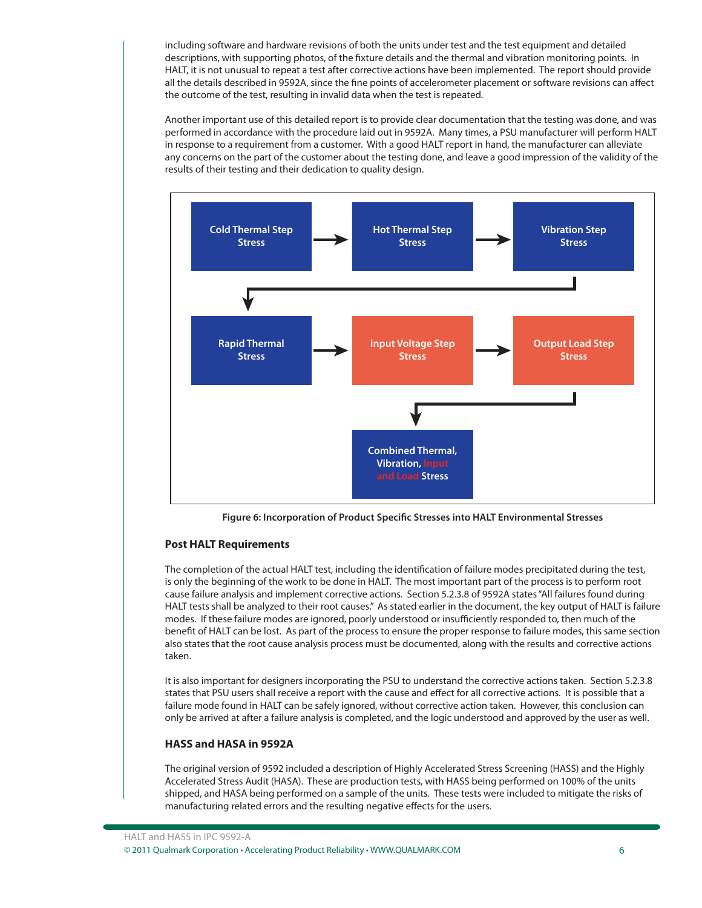including software and hardware revisions of both the units under test and the test equipment and detailed descriptions, with supporting photos, of the fixture details and the thermal and vibration monitoring points. In HALT, it is not unusual to repeat a test after corrective actions have been implemented. The report should provide all the details described in 9592A, since the fine points of accelerometer placement or software revisions can affect the outcome of the test, resulting in invalid data when the test is repeated.

Another important use of this detailed report is to provide clear documentation that the testing was done, and was performed in accordance with the procedure laid out in 9592A. Many times, a PSU manufacturer will perform HALT in response to a requirement from a customer. With a good HALT report in hand, the manufacturer can alleviate any concerns on the part of the customer about the testing done, and leave a good impression of the validity of the results of their testing and their dedication to quality design.



Figure 6: Incorporation of Product Specific Stresses into HALT Environmental Stresses

#### **Post HALT Requirements**

The completion of the actual HALT test, including the identification of failure modes precipitated during the test, is only the beginning of the work to be done in HALT. The most important part of the process is to perform root cause failure analysis and implement corrective actions. Section 5.2.3.8 of 9592A states "All failures found during HALT tests shall be analyzed to their root causes." As stated earlier in the document, the key output of HALT is failure modes. If these failure modes are ignored, poorly understood or insufficiently responded to, then much of the benefit of HALT can be lost. As part of the process to ensure the proper response to failure modes, this same section also states that the root cause analysis process must be documented, along with the results and corrective actions taken.

It is also important for designers incorporating the PSU to understand the corrective actions taken. Section 5.2.3.8 states that PSU users shall receive a report with the cause and effect for all corrective actions. It is possible that a failure mode found in HALT can be safely ignored, without corrective action taken. However, this conclusion can only be arrived at after a failure analysis is completed, and the logic understood and approved by the user as well.

#### **HASS and HASA in 9592A**

The original version of 9592 included a description of Highly Accelerated Stress Screening (HASS) and the Highly Accelerated Stress Audit (HASA). These are production tests, with HASS being performed on 100% of the units shipped, and HASA being performed on a sample of the units. These tests were included to mitigate the risks of manufacturing related errors and the resulting negative effects for the users.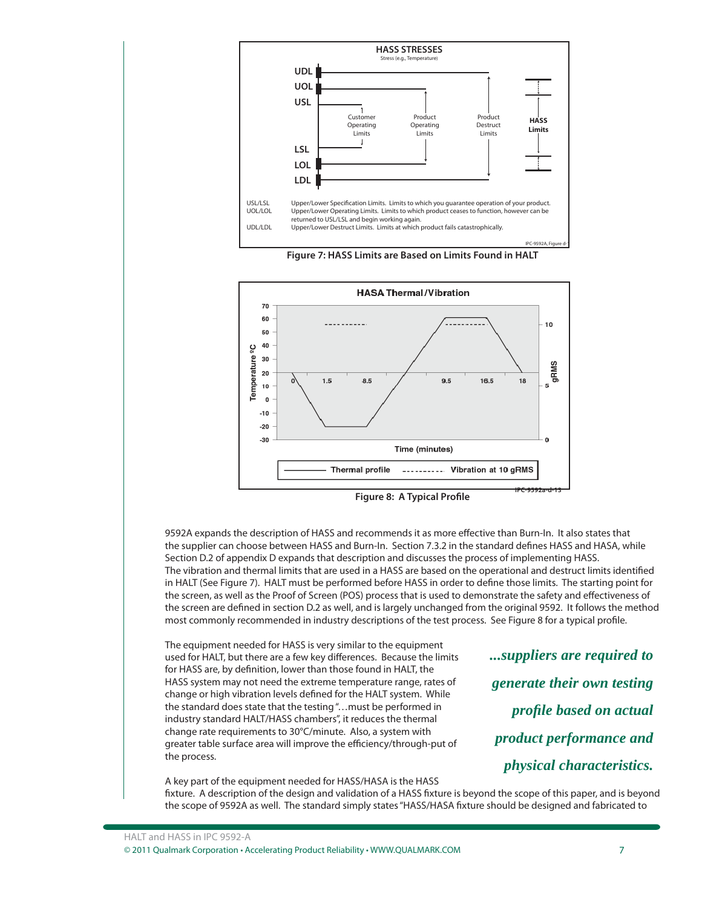

**HASA Thermal/Vibration** 70 60 10 50  $40$ ပ္စ Temperature  $30$ SI  $20$ 롟  $1.5$ 8.5  $9.5$ 16.5 18  $10$  $\overline{0}$  $-10$  $-20$ -30 Time (minutes) **Thermal profile** ---------- Vibration at 10 gRMS

**Figure 7: HASS Limits are Based on Limits Found in HALT**

9592A expands the description of HASS and recommends it as more effective than Burn-In. It also states that the supplier can choose between HASS and Burn-In. Section 7.3.2 in the standard defines HASS and HASA, while Section D.2 of appendix D expands that description and discusses the process of implementing HASS. The vibration and thermal limits that are used in a HASS are based on the operational and destruct limits identified in HALT (See Figure 7). HALT must be performed before HASS in order to define those limits. The starting point for the screen, as well as the Proof of Screen (POS) process that is used to demonstrate the safety and effectiveness of the screen are defined in section D.2 as well, and is largely unchanged from the original 9592. It follows the method most commonly recommended in industry descriptions of the test process. See Figure 8 for a typical profile.

The equipment needed for HASS is very similar to the equipment used for HALT, but there are a few key differences. Because the limits for HASS are, by definition, lower than those found in HALT, the HASS system may not need the extreme temperature range, rates of change or high vibration levels defined for the HALT system. While the standard does state that the testing "…must be performed in industry standard HALT/HASS chambers", it reduces the thermal change rate requirements to 30°C/minute. Also, a system with greater table surface area will improve the efficiency/through-put of the process.

*...suppliers are required to generate their own testing profi le based on actual product performance and physical characteristics.*

**IPC-9592a-d-13**

A key part of the equipment needed for HASS/HASA is the HASS fixture. A description of the design and validation of a HASS fixture is beyond the scope of this paper, and is beyond the scope of 9592A as well. The standard simply states "HASS/HASA fixture should be designed and fabricated to

**Figure 8: A Typical Profile**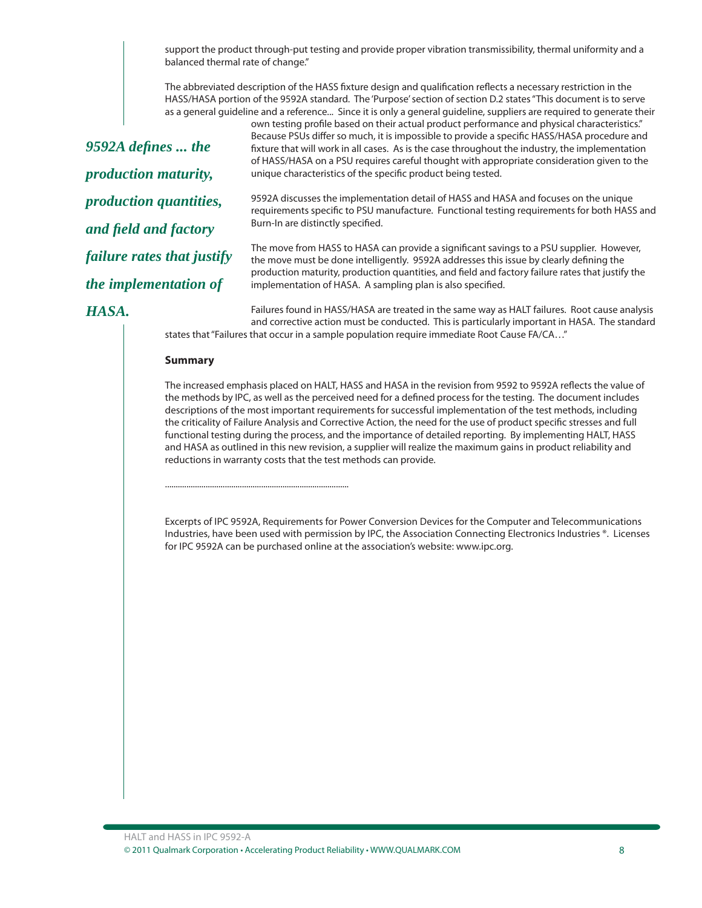support the product through-put testing and provide proper vibration transmissibility, thermal uniformity and a balanced thermal rate of change."

The abbreviated description of the HASS fixture design and qualification reflects a necessary restriction in the HASS/HASA portion of the 9592A standard. The 'Purpose' section of section D.2 states "This document is to serve as a general guideline and a reference... Since it is only a general guideline, suppliers are required to generate their

*9592A defi nes ... the production maturity, production quantities, and fi eld and factory failure rates that justify the implementation of* 

own testing profile based on their actual product performance and physical characteristics." Because PSUs differ so much, it is impossible to provide a specific HASS/HASA procedure and fixture that will work in all cases. As is the case throughout the industry, the implementation of HASS/HASA on a PSU requires careful thought with appropriate consideration given to the unique characteristics of the specific product being tested.

9592A discusses the implementation detail of HASS and HASA and focuses on the unique requirements specific to PSU manufacture. Functional testing requirements for both HASS and Burn-In are distinctly specified.

The move from HASS to HASA can provide a significant savings to a PSU supplier. However, the move must be done intelligently. 9592A addresses this issue by clearly defining the production maturity, production quantities, and field and factory failure rates that justify the implementation of HASA. A sampling plan is also specified.

#### *HASA.*

Failures found in HASS/HASA are treated in the same way as HALT failures. Root cause analysis and corrective action must be conducted. This is particularly important in HASA. The standard states that "Failures that occur in a sample population require immediate Root Cause FA/CA…"

#### **Summary**

......................................................................................

The increased emphasis placed on HALT, HASS and HASA in the revision from 9592 to 9592A reflects the value of the methods by IPC, as well as the perceived need for a defined process for the testing. The document includes descriptions of the most important requirements for successful implementation of the test methods, including the criticality of Failure Analysis and Corrective Action, the need for the use of product specific stresses and full functional testing during the process, and the importance of detailed reporting. By implementing HALT, HASS and HASA as outlined in this new revision, a supplier will realize the maximum gains in product reliability and reductions in warranty costs that the test methods can provide.

Excerpts of IPC 9592A, Requirements for Power Conversion Devices for the Computer and Telecommunications Industries, have been used with permission by IPC, the Association Connecting Electronics Industries ®. Licenses for IPC 9592A can be purchased online at the association's website: www.ipc.org.